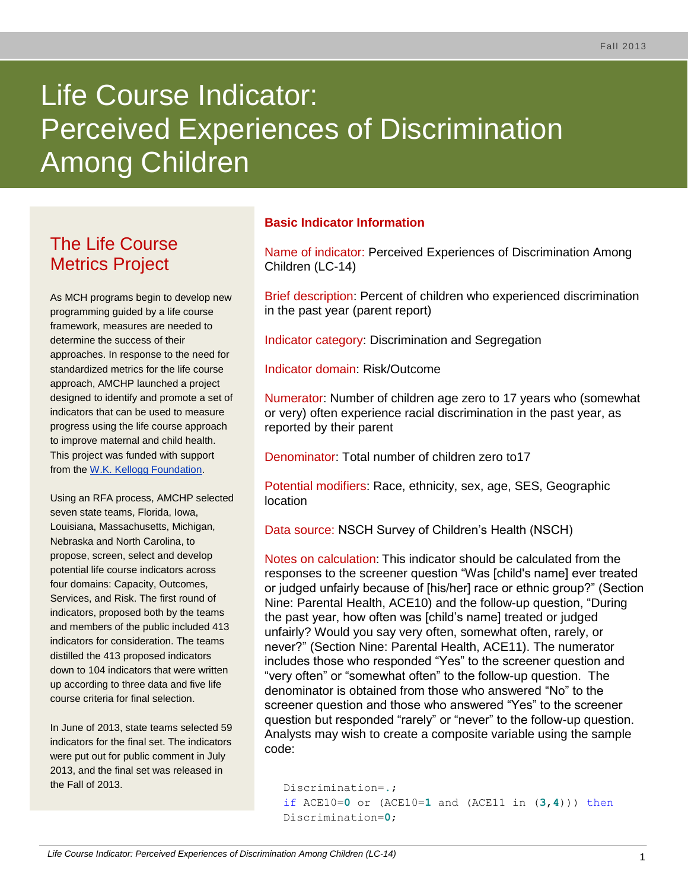# Life Course Indicator: Perceived Experiences of Discrimination Among Children

# The Life Course Metrics Project

As MCH programs begin to develop new programming guided by a life course framework, measures are needed to determine the success of their approaches. In response to the need for standardized metrics for the life course approach, AMCHP launched a project designed to identify and promote a set of indicators that can be used to measure progress using the life course approach to improve maternal and child health. This project was funded with support from the [W.K. Kellogg Foundation.](http://www.wkkf.org/)

Using an RFA process, AMCHP selected seven state teams, Florida, Iowa, Louisiana, Massachusetts, Michigan, Nebraska and North Carolina, to propose, screen, select and develop potential life course indicators across four domains: Capacity, Outcomes, Services, and Risk. The first round of indicators, proposed both by the teams and members of the public included 413 indicators for consideration. The teams distilled the 413 proposed indicators down to 104 indicators that were written up according to three data and five life course criteria for final selection.

In June of 2013, state teams selected 59 indicators for the final set. The indicators were put out for public comment in July 2013, and the final set was released in the Fall of 2013.

# **Basic Indicator Information**

Name of indicator: Perceived Experiences of Discrimination Among Children (LC-14)

Brief description: Percent of children who experienced discrimination in the past year (parent report)

Indicator category: Discrimination and Segregation

Indicator domain: Risk/Outcome

Numerator: Number of children age zero to 17 years who (somewhat or very) often experience racial discrimination in the past year, as reported by their parent

Denominator: Total number of children zero to17

Potential modifiers: Race, ethnicity, sex, age, SES, Geographic location

Data source: NSCH Survey of Children's Health (NSCH)

Notes on calculation: This indicator should be calculated from the responses to the screener question "Was [child's name] ever treated or judged unfairly because of [his/her] race or ethnic group?" (Section Nine: Parental Health, ACE10) and the follow-up question, "During the past year, how often was [child's name] treated or judged unfairly? Would you say very often, somewhat often, rarely, or never?" (Section Nine: Parental Health, ACE11). The numerator includes those who responded "Yes" to the screener question and "very often" or "somewhat often" to the follow-up question. The denominator is obtained from those who answered "No" to the screener question and those who answered "Yes" to the screener question but responded "rarely" or "never" to the follow-up question. Analysts may wish to create a composite variable using the sample code:

Discrimination=**.**; if ACE10=**0** or (ACE10=**1** and (ACE11 in (**3**,**4**))) then Discrimination=**0**;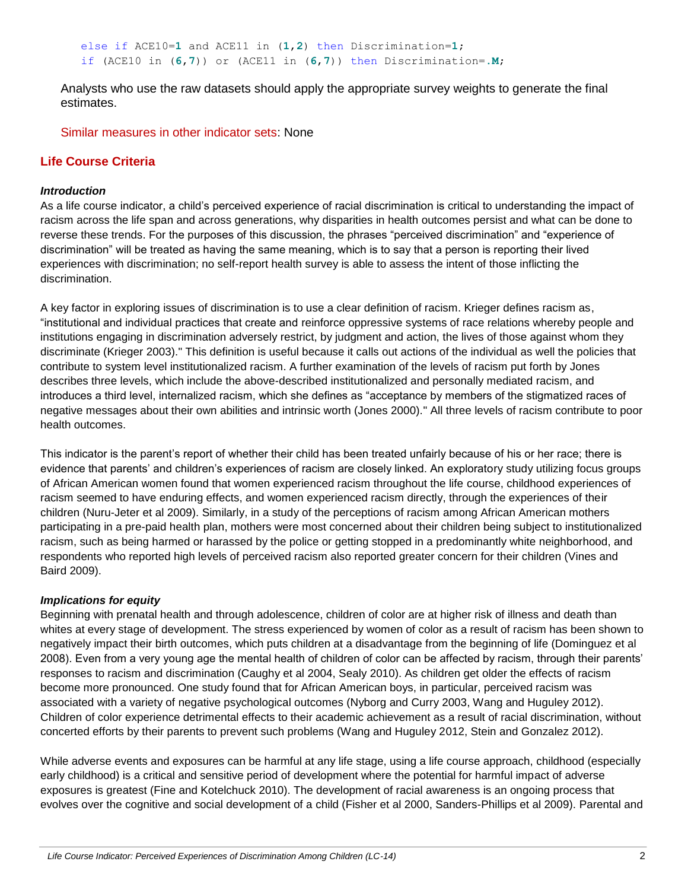else if ACE10=**1** and ACE11 in (**1**,**2**) then Discrimination=**1**; if (ACE10 in (**6**,**7**)) or (ACE11 in (**6**,**7**)) then Discrimination=**.M**;

Analysts who use the raw datasets should apply the appropriate survey weights to generate the final estimates.

Similar measures in other indicator sets: None

## **Life Course Criteria**

#### *Introduction*

As a life course indicator, a child's perceived experience of racial discrimination is critical to understanding the impact of racism across the life span and across generations, why disparities in health outcomes persist and what can be done to reverse these trends. For the purposes of this discussion, the phrases "perceived discrimination" and "experience of discrimination" will be treated as having the same meaning, which is to say that a person is reporting their lived experiences with discrimination; no self-report health survey is able to assess the intent of those inflicting the discrimination.

A key factor in exploring issues of discrimination is to use a clear definition of racism. Krieger defines racism as, "institutional and individual practices that create and reinforce oppressive systems of race relations whereby people and institutions engaging in discrimination adversely restrict, by judgment and action, the lives of those against whom they discriminate (Krieger 2003)." This definition is useful because it calls out actions of the individual as well the policies that contribute to system level institutionalized racism. A further examination of the levels of racism put forth by Jones describes three levels, which include the above-described institutionalized and personally mediated racism, and introduces a third level, internalized racism, which she defines as "acceptance by members of the stigmatized races of negative messages about their own abilities and intrinsic worth (Jones 2000)." All three levels of racism contribute to poor health outcomes.

This indicator is the parent's report of whether their child has been treated unfairly because of his or her race; there is evidence that parents' and children's experiences of racism are closely linked. An exploratory study utilizing focus groups of African American women found that women experienced racism throughout the life course, childhood experiences of racism seemed to have enduring effects, and women experienced racism directly, through the experiences of their children (Nuru-Jeter et al 2009). Similarly, in a study of the perceptions of racism among African American mothers participating in a pre-paid health plan, mothers were most concerned about their children being subject to institutionalized racism, such as being harmed or harassed by the police or getting stopped in a predominantly white neighborhood, and respondents who reported high levels of perceived racism also reported greater concern for their children (Vines and Baird 2009).

#### *Implications for equity*

Beginning with prenatal health and through adolescence, children of color are at higher risk of illness and death than whites at every stage of development. The stress experienced by women of color as a result of racism has been shown to negatively impact their birth outcomes, which puts children at a disadvantage from the beginning of life (Dominguez et al 2008). Even from a very young age the mental health of children of color can be affected by racism, through their parents' responses to racism and discrimination (Caughy et al 2004, Sealy 2010). As children get older the effects of racism become more pronounced. One study found that for African American boys, in particular, perceived racism was associated with a variety of negative psychological outcomes (Nyborg and Curry 2003, Wang and Huguley 2012). Children of color experience detrimental effects to their academic achievement as a result of racial discrimination, without concerted efforts by their parents to prevent such problems (Wang and Huguley 2012, Stein and Gonzalez 2012).

While adverse events and exposures can be harmful at any life stage, using a life course approach, childhood (especially early childhood) is a critical and sensitive period of development where the potential for harmful impact of adverse exposures is greatest (Fine and Kotelchuck 2010). The development of racial awareness is an ongoing process that evolves over the cognitive and social development of a child (Fisher et al 2000, Sanders-Phillips et al 2009). Parental and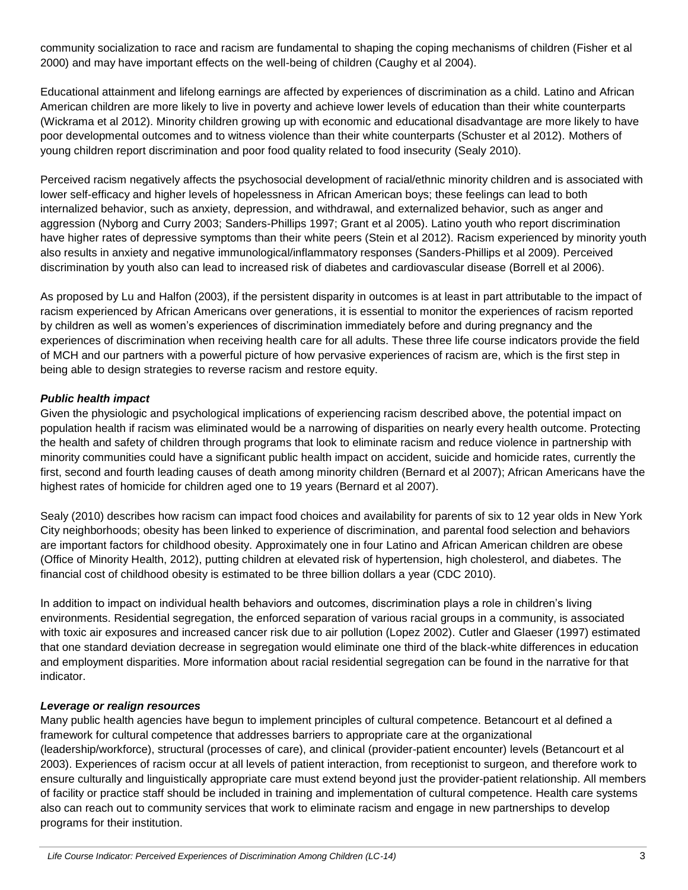community socialization to race and racism are fundamental to shaping the coping mechanisms of children (Fisher et al 2000) and may have important effects on the well-being of children (Caughy et al 2004).

Educational attainment and lifelong earnings are affected by experiences of discrimination as a child. Latino and African American children are more likely to live in poverty and achieve lower levels of education than their white counterparts (Wickrama et al 2012). Minority children growing up with economic and educational disadvantage are more likely to have poor developmental outcomes and to witness violence than their white counterparts (Schuster et al 2012). Mothers of young children report discrimination and poor food quality related to food insecurity (Sealy 2010).

Perceived racism negatively affects the psychosocial development of racial/ethnic minority children and is associated with lower self-efficacy and higher levels of hopelessness in African American boys; these feelings can lead to both internalized behavior, such as anxiety, depression, and withdrawal, and externalized behavior, such as anger and aggression (Nyborg and Curry 2003; Sanders-Phillips 1997; Grant et al 2005). Latino youth who report discrimination have higher rates of depressive symptoms than their white peers (Stein et al 2012). Racism experienced by minority youth also results in anxiety and negative immunological/inflammatory responses (Sanders-Phillips et al 2009). Perceived discrimination by youth also can lead to increased risk of diabetes and cardiovascular disease (Borrell et al 2006).

As proposed by Lu and Halfon (2003), if the persistent disparity in outcomes is at least in part attributable to the impact of racism experienced by African Americans over generations, it is essential to monitor the experiences of racism reported by children as well as women's experiences of discrimination immediately before and during pregnancy and the experiences of discrimination when receiving health care for all adults. These three life course indicators provide the field of MCH and our partners with a powerful picture of how pervasive experiences of racism are, which is the first step in being able to design strategies to reverse racism and restore equity.

#### *Public health impact*

Given the physiologic and psychological implications of experiencing racism described above, the potential impact on population health if racism was eliminated would be a narrowing of disparities on nearly every health outcome. Protecting the health and safety of children through programs that look to eliminate racism and reduce violence in partnership with minority communities could have a significant public health impact on accident, suicide and homicide rates, currently the first, second and fourth leading causes of death among minority children (Bernard et al 2007); African Americans have the highest rates of homicide for children aged one to 19 years (Bernard et al 2007).

Sealy (2010) describes how racism can impact food choices and availability for parents of six to 12 year olds in New York City neighborhoods; obesity has been linked to experience of discrimination, and parental food selection and behaviors are important factors for childhood obesity. Approximately one in four Latino and African American children are obese (Office of Minority Health, 2012), putting children at elevated risk of hypertension, high cholesterol, and diabetes. The financial cost of childhood obesity is estimated to be three billion dollars a year (CDC 2010).

In addition to impact on individual health behaviors and outcomes, discrimination plays a role in children's living environments. Residential segregation, the enforced separation of various racial groups in a community, is associated with toxic air exposures and increased cancer risk due to air pollution (Lopez 2002). Cutler and Glaeser (1997) estimated that one standard deviation decrease in segregation would eliminate one third of the black-white differences in education and employment disparities. More information about racial residential segregation can be found in the narrative for that indicator.

#### *Leverage or realign resources*

Many public health agencies have begun to implement principles of cultural competence. Betancourt et al defined a framework for cultural competence that addresses barriers to appropriate care at the organizational (leadership/workforce), structural (processes of care), and clinical (provider-patient encounter) levels (Betancourt et al 2003). Experiences of racism occur at all levels of patient interaction, from receptionist to surgeon, and therefore work to ensure culturally and linguistically appropriate care must extend beyond just the provider-patient relationship. All members of facility or practice staff should be included in training and implementation of cultural competence. Health care systems also can reach out to community services that work to eliminate racism and engage in new partnerships to develop programs for their institution.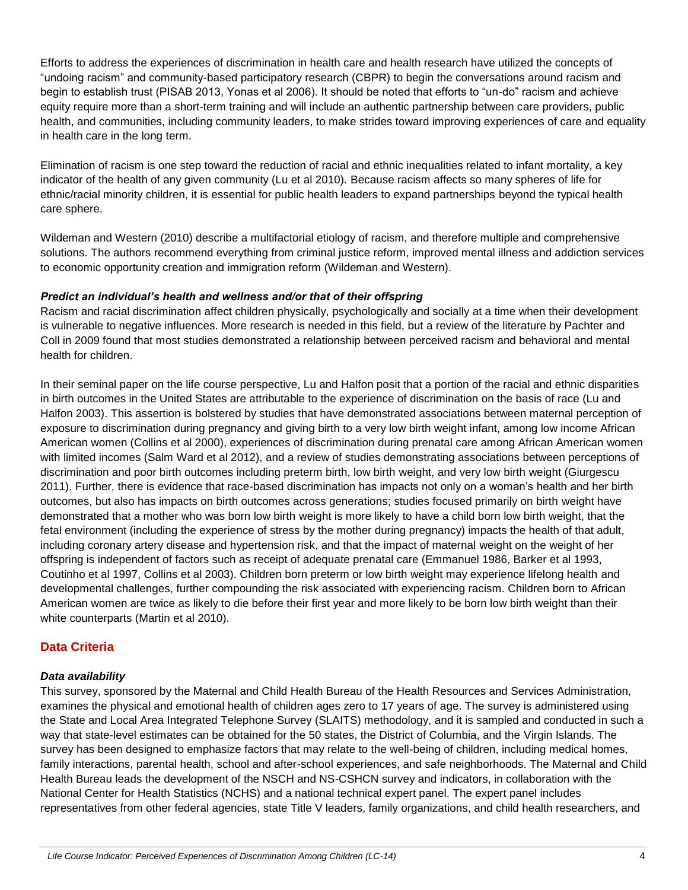Efforts to address the experiences of discrimination in health care and health research have utilized the concepts of "undoing racism" and community-based participatory research (CBPR) to begin the conversations around racism and begin to establish trust (PISAB 2013, Yonas et al 2006). It should be noted that efforts to "un-do" racism and achieve equity require more than a short-term training and will include an authentic partnership between care providers, public health, and communities, including community leaders, to make strides toward improving experiences of care and equality in health care in the long term.

Elimination of racism is one step toward the reduction of racial and ethnic inequalities related to infant mortality, a key indicator of the health of any given community (Lu et al 2010). Because racism affects so many spheres of life for ethnic/racial minority children, it is essential for public health leaders to expand partnerships beyond the typical health care sphere.

Wildeman and Western (2010) describe a multifactorial etiology of racism, and therefore multiple and comprehensive solutions. The authors recommend everything from criminal justice reform, improved mental illness and addiction services to economic opportunity creation and immigration reform (Wildeman and Western).

#### *Predict an individual's health and wellness and/or that of their offspring*

Racism and racial discrimination affect children physically, psychologically and socially at a time when their development is vulnerable to negative influences. More research is needed in this field, but a review of the literature by Pachter and Coll in 2009 found that most studies demonstrated a relationship between perceived racism and behavioral and mental health for children.

In their seminal paper on the life course perspective, Lu and Halfon posit that a portion of the racial and ethnic disparities in birth outcomes in the United States are attributable to the experience of discrimination on the basis of race (Lu and Halfon 2003). This assertion is bolstered by studies that have demonstrated associations between maternal perception of exposure to discrimination during pregnancy and giving birth to a very low birth weight infant, among low income African American women (Collins et al 2000), experiences of discrimination during prenatal care among African American women with limited incomes (Salm Ward et al 2012), and a review of studies demonstrating associations between perceptions of discrimination and poor birth outcomes including preterm birth, low birth weight, and very low birth weight (Giurgescu 2011). Further, there is evidence that race-based discrimination has impacts not only on a woman's health and her birth outcomes, but also has impacts on birth outcomes across generations; studies focused primarily on birth weight have demonstrated that a mother who was born low birth weight is more likely to have a child born low birth weight, that the fetal environment (including the experience of stress by the mother during pregnancy) impacts the health of that adult, including coronary artery disease and hypertension risk, and that the impact of maternal weight on the weight of her offspring is independent of factors such as receipt of adequate prenatal care (Emmanuel 1986, Barker et al 1993, Coutinho et al 1997, Collins et al 2003). Children born preterm or low birth weight may experience lifelong health and developmental challenges, further compounding the risk associated with experiencing racism. Children born to African American women are twice as likely to die before their first year and more likely to be born low birth weight than their white counterparts (Martin et al 2010).

# **Data Criteria**

### *Data availability*

This survey, sponsored by the Maternal and Child Health Bureau of the Health Resources and Services Administration, examines the physical and emotional health of children ages zero to 17 years of age. The survey is administered using the State and Local Area Integrated Telephone Survey (SLAITS) methodology, and it is sampled and conducted in such a way that state-level estimates can be obtained for the 50 states, the District of Columbia, and the Virgin Islands. The survey has been designed to emphasize factors that may relate to the well-being of children, including medical homes, family interactions, parental health, school and after-school experiences, and safe neighborhoods. The Maternal and Child Health Bureau leads the development of the NSCH and NS-CSHCN survey and indicators, in collaboration with the National Center for Health Statistics (NCHS) and a national technical expert panel. The expert panel includes representatives from other federal agencies, state Title V leaders, family organizations, and child health researchers, and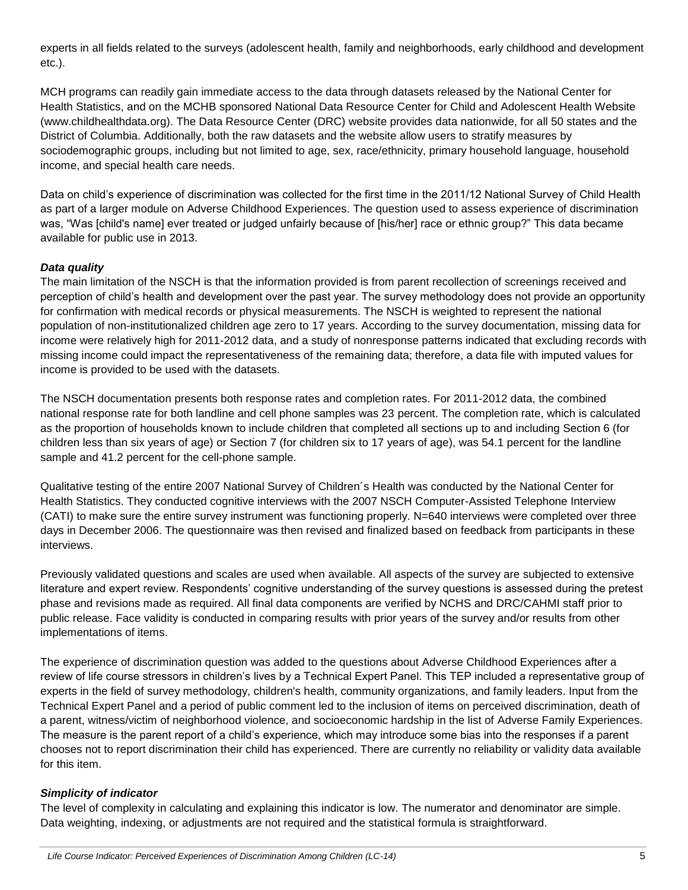experts in all fields related to the surveys (adolescent health, family and neighborhoods, early childhood and development etc.).

MCH programs can readily gain immediate access to the data through datasets released by the National Center for Health Statistics, and on the MCHB sponsored National Data Resource Center for Child and Adolescent Health Website (www.childhealthdata.org). The Data Resource Center (DRC) website provides data nationwide, for all 50 states and the District of Columbia. Additionally, both the raw datasets and the website allow users to stratify measures by sociodemographic groups, including but not limited to age, sex, race/ethnicity, primary household language, household income, and special health care needs.

Data on child's experience of discrimination was collected for the first time in the 2011/12 National Survey of Child Health as part of a larger module on Adverse Childhood Experiences. The question used to assess experience of discrimination was, "Was [child's name] ever treated or judged unfairly because of [his/her] race or ethnic group?" This data became available for public use in 2013.

#### *Data quality*

The main limitation of the NSCH is that the information provided is from parent recollection of screenings received and perception of child's health and development over the past year. The survey methodology does not provide an opportunity for confirmation with medical records or physical measurements. The NSCH is weighted to represent the national population of non-institutionalized children age zero to 17 years. According to the survey documentation, missing data for income were relatively high for 2011-2012 data, and a study of nonresponse patterns indicated that excluding records with missing income could impact the representativeness of the remaining data; therefore, a data file with imputed values for income is provided to be used with the datasets.

The NSCH documentation presents both response rates and completion rates. For 2011-2012 data, the combined national response rate for both landline and cell phone samples was 23 percent. The completion rate, which is calculated as the proportion of households known to include children that completed all sections up to and including Section 6 (for children less than six years of age) or Section 7 (for children six to 17 years of age), was 54.1 percent for the landline sample and 41.2 percent for the cell-phone sample.

Qualitative testing of the entire 2007 National Survey of Children´s Health was conducted by the National Center for Health Statistics. They conducted cognitive interviews with the 2007 NSCH Computer-Assisted Telephone Interview (CATI) to make sure the entire survey instrument was functioning properly. N=640 interviews were completed over three days in December 2006. The questionnaire was then revised and finalized based on feedback from participants in these interviews.

Previously validated questions and scales are used when available. All aspects of the survey are subjected to extensive literature and expert review. Respondents' cognitive understanding of the survey questions is assessed during the pretest phase and revisions made as required. All final data components are verified by NCHS and DRC/CAHMI staff prior to public release. Face validity is conducted in comparing results with prior years of the survey and/or results from other implementations of items.

The experience of discrimination question was added to the questions about Adverse Childhood Experiences after a review of life course stressors in children's lives by a Technical Expert Panel. This TEP included a representative group of experts in the field of survey methodology, children's health, community organizations, and family leaders. Input from the Technical Expert Panel and a period of public comment led to the inclusion of items on perceived discrimination, death of a parent, witness/victim of neighborhood violence, and socioeconomic hardship in the list of Adverse Family Experiences. The measure is the parent report of a child's experience, which may introduce some bias into the responses if a parent chooses not to report discrimination their child has experienced. There are currently no reliability or validity data available for this item.

#### *Simplicity of indicator*

The level of complexity in calculating and explaining this indicator is low. The numerator and denominator are simple. Data weighting, indexing, or adjustments are not required and the statistical formula is straightforward.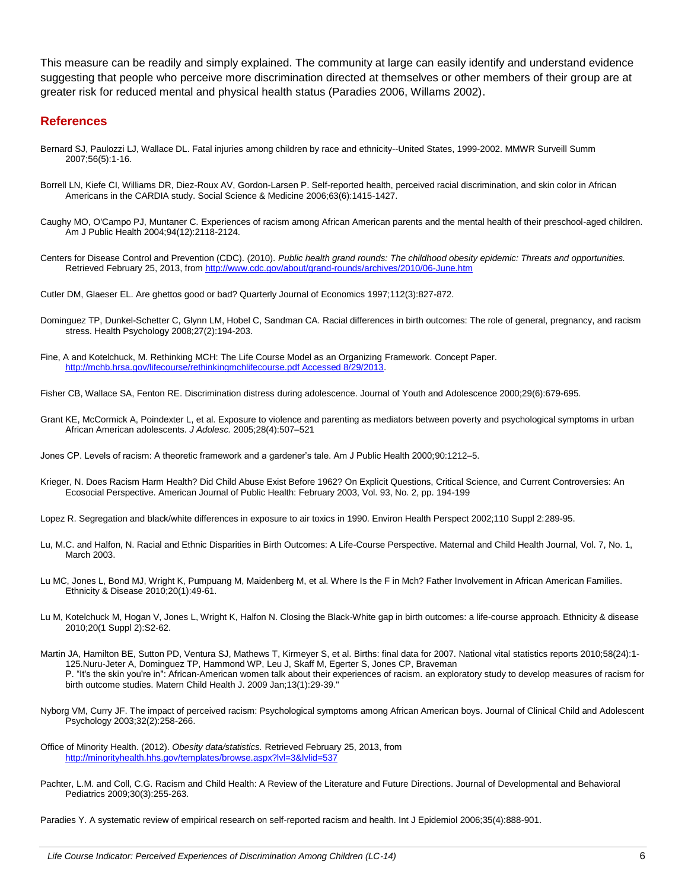This measure can be readily and simply explained. The community at large can easily identify and understand evidence suggesting that people who perceive more discrimination directed at themselves or other members of their group are at greater risk for reduced mental and physical health status (Paradies 2006, Willams 2002).

#### **References**

- Bernard SJ, Paulozzi LJ, Wallace DL. Fatal injuries among children by race and ethnicity--United States, 1999-2002. MMWR Surveill Summ 2007;56(5):1-16.
- Borrell LN, Kiefe CI, Williams DR, Diez-Roux AV, Gordon-Larsen P. Self-reported health, perceived racial discrimination, and skin color in African Americans in the CARDIA study. Social Science & Medicine 2006;63(6):1415-1427.
- Caughy MO, O'Campo PJ, Muntaner C. Experiences of racism among African American parents and the mental health of their preschool-aged children. Am J Public Health 2004;94(12):2118-2124.

Centers for Disease Control and Prevention (CDC). (2010). *Public health grand rounds: The childhood obesity epidemic: Threats and opportunities.* Retrieved February 25, 2013, from<http://www.cdc.gov/about/grand-rounds/archives/2010/06-June.htm>

Cutler DM, Glaeser EL. Are ghettos good or bad? Quarterly Journal of Economics 1997;112(3):827-872.

- Dominguez TP, Dunkel-Schetter C, Glynn LM, Hobel C, Sandman CA. Racial differences in birth outcomes: The role of general, pregnancy, and racism stress. Health Psychology 2008;27(2):194-203.
- Fine, A and Kotelchuck, M. Rethinking MCH: The Life Course Model as an Organizing Framework. Concept Paper. [http://mchb.hrsa.gov/lifecourse/rethinkingmchlifecourse.pdf Accessed 8/29/2013.](http://mchb.hrsa.gov/lifecourse/rethinkingmchlifecourse.pdf%20Accessed%208/29/2013)
- Fisher CB, Wallace SA, Fenton RE. Discrimination distress during adolescence. Journal of Youth and Adolescence 2000;29(6):679-695.
- Grant KE, McCormick A, Poindexter L, et al. Exposure to violence and parenting as mediators between poverty and psychological symptoms in urban African American adolescents. *J Adolesc.* 2005;28(4):507–521
- Jones CP. Levels of racism: A theoretic framework and a gardener's tale. Am J Public Health 2000;90:1212–5.
- Krieger, N. Does Racism Harm Health? Did Child Abuse Exist Before 1962? On Explicit Questions, Critical Science, and Current Controversies: An Ecosocial Perspective. American Journal of Public Health: February 2003, Vol. 93, No. 2, pp. 194-199
- Lopez R. Segregation and black/white differences in exposure to air toxics in 1990. Environ Health Perspect 2002;110 Suppl 2:289-95.
- Lu, M.C. and Halfon, N. Racial and Ethnic Disparities in Birth Outcomes: A Life-Course Perspective. Maternal and Child Health Journal, Vol. 7, No. 1, March 2003.
- Lu MC, Jones L, Bond MJ, Wright K, Pumpuang M, Maidenberg M, et al. Where Is the F in Mch? Father Involvement in African American Families. Ethnicity & Disease 2010;20(1):49-61.
- Lu M, Kotelchuck M, Hogan V, Jones L, Wright K, Halfon N. Closing the Black-White gap in birth outcomes: a life-course approach. Ethnicity & disease 2010;20(1 Suppl 2):S2-62.
- Martin JA, Hamilton BE, Sutton PD, Ventura SJ, Mathews T, Kirmeyer S, et al. Births: final data for 2007. National vital statistics reports 2010;58(24):1-125.Nuru-Jeter A, Dominguez TP, Hammond WP, Leu J, Skaff M, Egerter S, Jones CP, Braveman P. "It's the skin you're in": African-American women talk about their experiences of racism. an exploratory study to develop measures of racism for birth outcome studies. Matern Child Health J. 2009 Jan;13(1):29-39."
- Nyborg VM, Curry JF. The impact of perceived racism: Psychological symptoms among African American boys. Journal of Clinical Child and Adolescent Psychology 2003;32(2):258-266.
- Office of Minority Health. (2012). *Obesity data/statistics.* Retrieved February 25, 2013, from <http://minorityhealth.hhs.gov/templates/browse.aspx?lvl=3&lvlid=537>
- Pachter, L.M. and Coll, C.G. Racism and Child Health: A Review of the Literature and Future Directions. Journal of Developmental and Behavioral Pediatrics 2009;30(3):255-263.

Paradies Y. A systematic review of empirical research on self-reported racism and health. Int J Epidemiol 2006;35(4):888-901.